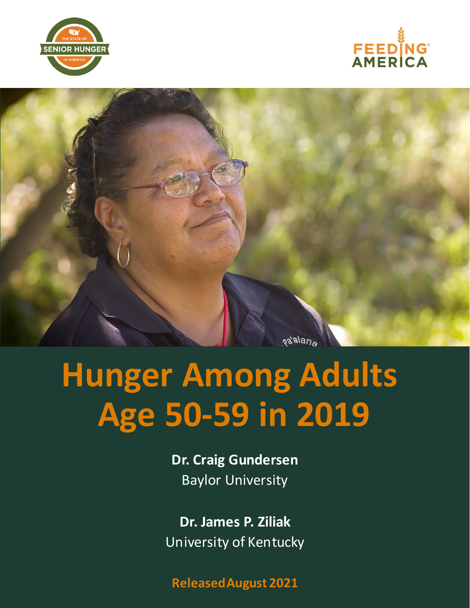





# **Hunger Among Adults Age 50-59 in 2019**

**Dr. Craig Gundersen** Baylor University

**Dr. James P. Ziliak** University of Kentucky

**ReleasedAugust 2021**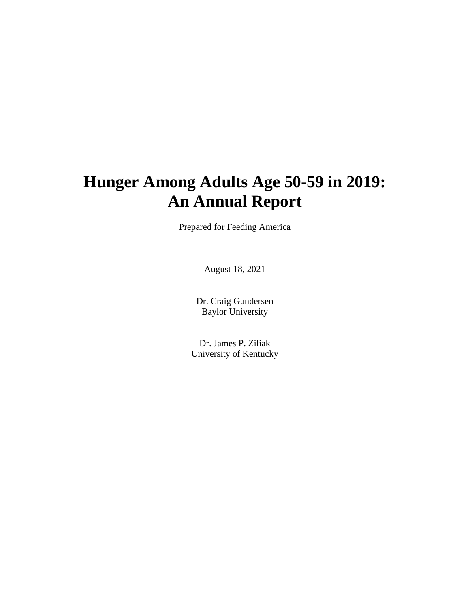## **Hunger Among Adults Age 50-59 in 2019: An Annual Report**

Prepared for Feeding America

August 18, 2021

Dr. Craig Gundersen Baylor University

Dr. James P. Ziliak University of Kentucky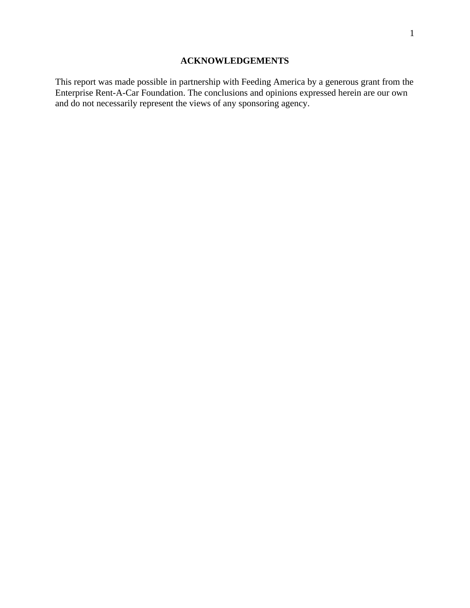#### **ACKNOWLEDGEMENTS**

<span id="page-2-0"></span>This report was made possible in partnership with Feeding America by a generous grant from the Enterprise Rent-A-Car Foundation. The conclusions and opinions expressed herein are our own and do not necessarily represent the views of any sponsoring agency.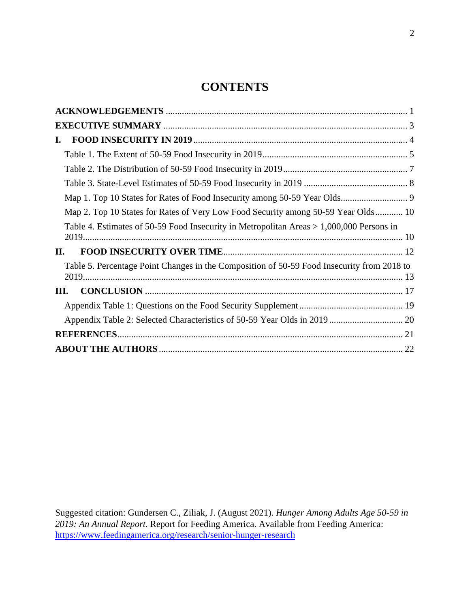### **CONTENTS**

| I.                                                                                         |  |
|--------------------------------------------------------------------------------------------|--|
|                                                                                            |  |
|                                                                                            |  |
|                                                                                            |  |
|                                                                                            |  |
| Map 2. Top 10 States for Rates of Very Low Food Security among 50-59 Year Olds 10          |  |
| Table 4. Estimates of 50-59 Food Insecurity in Metropolitan Areas > 1,000,000 Persons in   |  |
| П.                                                                                         |  |
| Table 5. Percentage Point Changes in the Composition of 50-59 Food Insecurity from 2018 to |  |
| Ш.                                                                                         |  |
|                                                                                            |  |
|                                                                                            |  |
|                                                                                            |  |
|                                                                                            |  |

Suggested citation: Gundersen C., Ziliak, J. (August 2021). *Hunger Among Adults Age 50-59 in 2019: An Annual Report.* Report for Feeding America. Available from Feeding America: <https://www.feedingamerica.org/research/senior-hunger-research>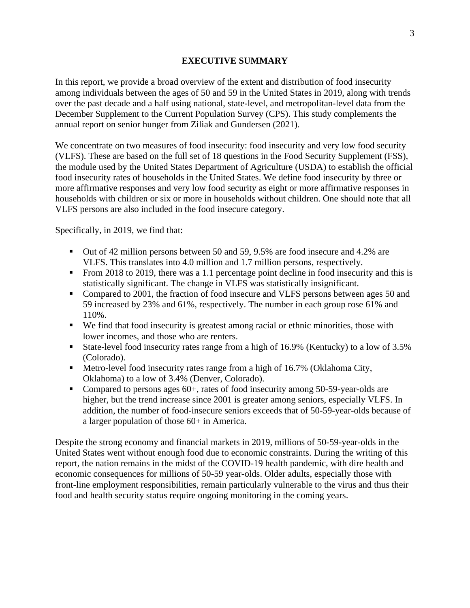#### **EXECUTIVE SUMMARY**

<span id="page-4-0"></span>In this report, we provide a broad overview of the extent and distribution of food insecurity among individuals between the ages of 50 and 59 in the United States in 2019, along with trends over the past decade and a half using national, state-level, and metropolitan-level data from the December Supplement to the Current Population Survey (CPS). This study complements the annual report on senior hunger from Ziliak and Gundersen (2021).

We concentrate on two measures of food insecurity: food insecurity and very low food security (VLFS). These are based on the full set of 18 questions in the Food Security Supplement (FSS), the module used by the United States Department of Agriculture (USDA) to establish the official food insecurity rates of households in the United States. We define food insecurity by three or more affirmative responses and very low food security as eight or more affirmative responses in households with children or six or more in households without children. One should note that all VLFS persons are also included in the food insecure category.

Specifically, in 2019, we find that:

- Out of 42 million persons between 50 and 59, 9.5% are food insecure and 4.2% are VLFS. This translates into 4.0 million and 1.7 million persons, respectively.
- From 2018 to 2019, there was a 1.1 percentage point decline in food insecurity and this is statistically significant. The change in VLFS was statistically insignificant.
- Compared to 2001, the fraction of food insecure and VLFS persons between ages 50 and 59 increased by 23% and 61%, respectively. The number in each group rose 61% and 110%.
- We find that food insecurity is greatest among racial or ethnic minorities, those with lower incomes, and those who are renters.
- State-level food insecurity rates range from a high of 16.9% (Kentucky) to a low of 3.5% (Colorado).
- Metro-level food insecurity rates range from a high of 16.7% (Oklahoma City, Oklahoma) to a low of 3.4% (Denver, Colorado).
- Compared to persons ages 60+, rates of food insecurity among 50-59-year-olds are higher, but the trend increase since 2001 is greater among seniors, especially VLFS. In addition, the number of food-insecure seniors exceeds that of 50-59-year-olds because of a larger population of those 60+ in America.

Despite the strong economy and financial markets in 2019, millions of 50-59-year-olds in the United States went without enough food due to economic constraints. During the writing of this report, the nation remains in the midst of the COVID-19 health pandemic, with dire health and economic consequences for millions of 50-59 year-olds. Older adults, especially those with front-line employment responsibilities, remain particularly vulnerable to the virus and thus their food and health security status require ongoing monitoring in the coming years.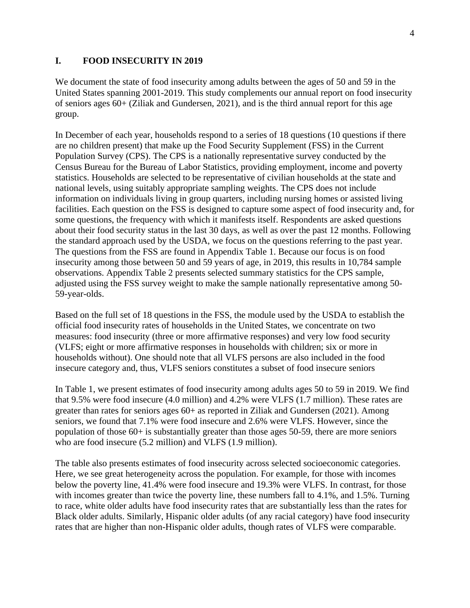#### <span id="page-5-0"></span>**I. FOOD INSECURITY IN 2019**

We document the state of food insecurity among adults between the ages of 50 and 59 in the United States spanning 2001-2019. This study complements our annual report on food insecurity of seniors ages 60+ (Ziliak and Gundersen, 2021), and is the third annual report for this age group.

In December of each year, households respond to a series of 18 questions (10 questions if there are no children present) that make up the Food Security Supplement (FSS) in the Current Population Survey (CPS). The CPS is a nationally representative survey conducted by the Census Bureau for the Bureau of Labor Statistics, providing employment, income and poverty statistics. Households are selected to be representative of civilian households at the state and national levels, using suitably appropriate sampling weights. The CPS does not include information on individuals living in group quarters, including nursing homes or assisted living facilities. Each question on the FSS is designed to capture some aspect of food insecurity and, for some questions, the frequency with which it manifests itself. Respondents are asked questions about their food security status in the last 30 days, as well as over the past 12 months. Following the standard approach used by the USDA, we focus on the questions referring to the past year. The questions from the FSS are found in Appendix Table 1. Because our focus is on food insecurity among those between 50 and 59 years of age, in 2019, this results in 10,784 sample observations. Appendix Table 2 presents selected summary statistics for the CPS sample, adjusted using the FSS survey weight to make the sample nationally representative among 50- 59-year-olds.

Based on the full set of 18 questions in the FSS, the module used by the USDA to establish the official food insecurity rates of households in the United States, we concentrate on two measures: food insecurity (three or more affirmative responses) and very low food security (VLFS; eight or more affirmative responses in households with children; six or more in households without). One should note that all VLFS persons are also included in the food insecure category and, thus, VLFS seniors constitutes a subset of food insecure seniors

In Table 1, we present estimates of food insecurity among adults ages 50 to 59 in 2019. We find that 9.5% were food insecure (4.0 million) and 4.2% were VLFS (1.7 million). These rates are greater than rates for seniors ages 60+ as reported in Ziliak and Gundersen (2021). Among seniors, we found that 7.1% were food insecure and 2.6% were VLFS. However, since the population of those 60+ is substantially greater than those ages 50-59, there are more seniors who are food insecure (5.2 million) and VLFS (1.9 million).

The table also presents estimates of food insecurity across selected socioeconomic categories. Here, we see great heterogeneity across the population. For example, for those with incomes below the poverty line, 41.4% were food insecure and 19.3% were VLFS. In contrast, for those with incomes greater than twice the poverty line, these numbers fall to 4.1%, and 1.5%. Turning to race, white older adults have food insecurity rates that are substantially less than the rates for Black older adults. Similarly, Hispanic older adults (of any racial category) have food insecurity rates that are higher than non-Hispanic older adults, though rates of VLFS were comparable.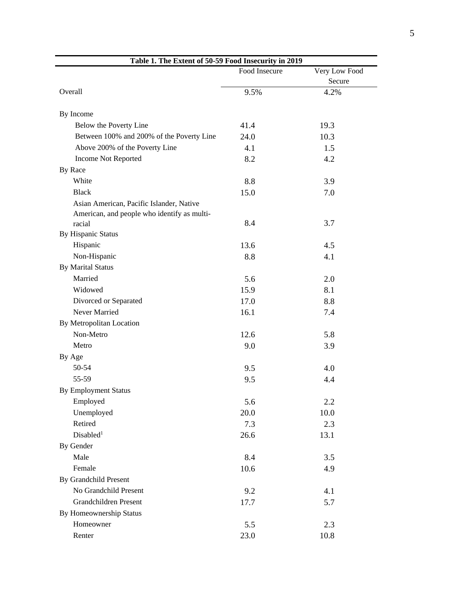<span id="page-6-0"></span>

| Table 1. The Extent of 50-59 Food Insecurity in 2019 |               |                         |  |
|------------------------------------------------------|---------------|-------------------------|--|
|                                                      | Food Insecure | Very Low Food<br>Secure |  |
| Overall                                              | 9.5%          | 4.2%                    |  |
| By Income                                            |               |                         |  |
| Below the Poverty Line                               | 41.4          | 19.3                    |  |
| Between 100% and 200% of the Poverty Line            | 24.0          | 10.3                    |  |
| Above 200% of the Poverty Line                       | 4.1           | 1.5                     |  |
| Income Not Reported                                  | 8.2           | 4.2                     |  |
| By Race                                              |               |                         |  |
| White                                                | 8.8           | 3.9                     |  |
| <b>Black</b>                                         | 15.0          | 7.0                     |  |
| Asian American, Pacific Islander, Native             |               |                         |  |
| American, and people who identify as multi-          |               |                         |  |
| racial                                               | 8.4           | 3.7                     |  |
| <b>By Hispanic Status</b>                            |               |                         |  |
| Hispanic                                             | 13.6          | 4.5                     |  |
| Non-Hispanic                                         | 8.8           | 4.1                     |  |
| <b>By Marital Status</b>                             |               |                         |  |
| Married                                              | 5.6           | 2.0                     |  |
| Widowed                                              | 15.9          | 8.1                     |  |
| Divorced or Separated                                | 17.0          | 8.8                     |  |
| Never Married                                        | 16.1          | 7.4                     |  |
| By Metropolitan Location                             |               |                         |  |
| Non-Metro                                            | 12.6          | 5.8                     |  |
| Metro                                                | 9.0           | 3.9                     |  |
| By Age                                               |               |                         |  |
| 50-54                                                | 9.5           | 4.0                     |  |
| 55-59                                                | 9.5           | 4.4                     |  |
| <b>By Employment Status</b>                          |               |                         |  |
| Employed                                             | 5.6           | 2.2                     |  |
| Unemployed                                           | 20.0          | 10.0                    |  |
| Retired                                              | 7.3           | 2.3                     |  |
| Disabled <sup>1</sup>                                | 26.6          | 13.1                    |  |
| By Gender                                            |               |                         |  |
| Male                                                 | 8.4           | 3.5                     |  |
| Female                                               | 10.6          | 4.9                     |  |
| By Grandchild Present                                |               |                         |  |
| No Grandchild Present                                | 9.2           | 4.1                     |  |
| Grandchildren Present                                | 17.7          | 5.7                     |  |
| By Homeownership Status                              |               |                         |  |
| Homeowner                                            | 5.5           | 2.3                     |  |
| Renter                                               | 23.0          | 10.8                    |  |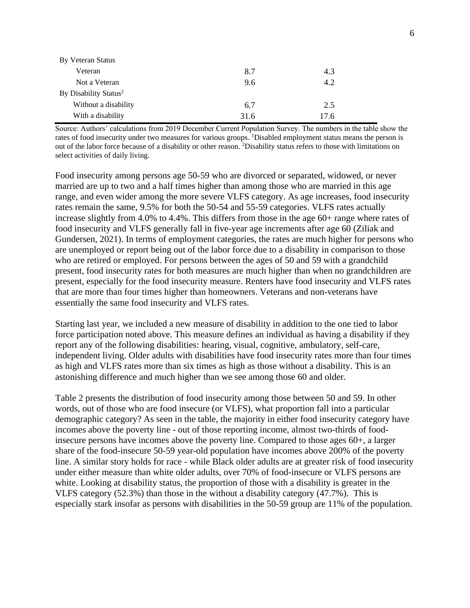| By Veteran Status                 |      |      |  |
|-----------------------------------|------|------|--|
| Veteran                           | 8.7  | 4.3  |  |
| Not a Veteran                     | 9.6  | 4.2  |  |
| By Disability Status <sup>2</sup> |      |      |  |
| Without a disability              | 6.7  | 2.5  |  |
| With a disability                 | 31.6 | 17.6 |  |

Source: Authors' calculations from 2019 December Current Population Survey. The numbers in the table show the rates of food insecurity under two measures for various groups. <sup>1</sup>Disabled employment status means the person is out of the labor force because of a disability or other reason. <sup>2</sup>Disability status refers to those with limitations on select activities of daily living.

Food insecurity among persons age 50-59 who are divorced or separated, widowed, or never married are up to two and a half times higher than among those who are married in this age range, and even wider among the more severe VLFS category. As age increases, food insecurity rates remain the same, 9.5% for both the 50-54 and 55-59 categories. VLFS rates actually increase slightly from 4.0% to 4.4%. This differs from those in the age 60+ range where rates of food insecurity and VLFS generally fall in five-year age increments after age 60 (Ziliak and Gundersen, 2021). In terms of employment categories, the rates are much higher for persons who are unemployed or report being out of the labor force due to a disability in comparison to those who are retired or employed. For persons between the ages of 50 and 59 with a grandchild present, food insecurity rates for both measures are much higher than when no grandchildren are present, especially for the food insecurity measure. Renters have food insecurity and VLFS rates that are more than four times higher than homeowners. Veterans and non-veterans have essentially the same food insecurity and VLFS rates.

Starting last year, we included a new measure of disability in addition to the one tied to labor force participation noted above. This measure defines an individual as having a disability if they report any of the following disabilities: hearing, visual, cognitive, ambulatory, self-care, independent living. Older adults with disabilities have food insecurity rates more than four times as high and VLFS rates more than six times as high as those without a disability. This is an astonishing difference and much higher than we see among those 60 and older.

Table 2 presents the distribution of food insecurity among those between 50 and 59. In other words, out of those who are food insecure (or VLFS), what proportion fall into a particular demographic category? As seen in the table, the majority in either food insecurity category have incomes above the poverty line - out of those reporting income, almost two-thirds of foodinsecure persons have incomes above the poverty line. Compared to those ages 60+, a larger share of the food-insecure 50-59 year-old population have incomes above 200% of the poverty line. A similar story holds for race - while Black older adults are at greater risk of food insecurity under either measure than white older adults, over 70% of food-insecure or VLFS persons are white. Looking at disability status, the proportion of those with a disability is greater in the VLFS category (52.3%) than those in the without a disability category (47.7%). This is especially stark insofar as persons with disabilities in the 50-59 group are 11% of the population.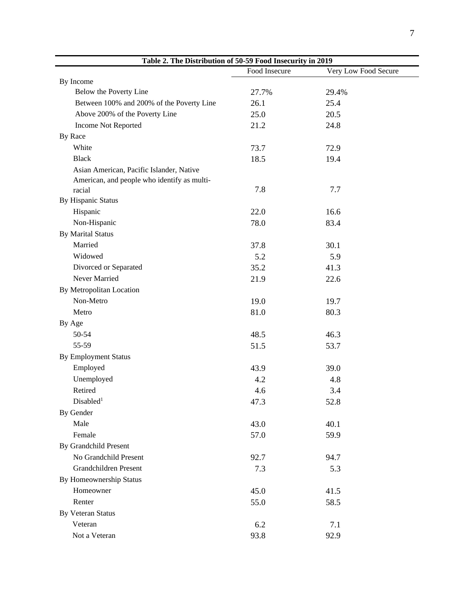<span id="page-8-0"></span>

| Table 2. The Distribution of 50-59 Food Insecurity in 2019 |               |                      |  |
|------------------------------------------------------------|---------------|----------------------|--|
|                                                            | Food Insecure | Very Low Food Secure |  |
| By Income                                                  |               |                      |  |
| Below the Poverty Line                                     | 27.7%         | 29.4%                |  |
| Between 100% and 200% of the Poverty Line                  | 26.1          | 25.4                 |  |
| Above 200% of the Poverty Line                             | 25.0          | 20.5                 |  |
| Income Not Reported                                        | 21.2          | 24.8                 |  |
| By Race                                                    |               |                      |  |
| White                                                      | 73.7          | 72.9                 |  |
| <b>Black</b>                                               | 18.5          | 19.4                 |  |
| Asian American, Pacific Islander, Native                   |               |                      |  |
| American, and people who identify as multi-                |               |                      |  |
| racial                                                     | 7.8           | 7.7                  |  |
| By Hispanic Status                                         |               |                      |  |
| Hispanic                                                   | 22.0          | 16.6                 |  |
| Non-Hispanic                                               | 78.0          | 83.4                 |  |
| <b>By Marital Status</b>                                   |               |                      |  |
| Married                                                    | 37.8          | 30.1                 |  |
| Widowed                                                    | 5.2           | 5.9                  |  |
| Divorced or Separated                                      | 35.2          | 41.3                 |  |
| Never Married                                              | 21.9          | 22.6                 |  |
| By Metropolitan Location                                   |               |                      |  |
| Non-Metro                                                  | 19.0          | 19.7                 |  |
| Metro                                                      | 81.0          | 80.3                 |  |
| By Age                                                     |               |                      |  |
| 50-54                                                      | 48.5          | 46.3                 |  |
| 55-59                                                      | 51.5          | 53.7                 |  |
| <b>By Employment Status</b>                                |               |                      |  |
| Employed                                                   | 43.9          | 39.0                 |  |
| Unemployed                                                 | 4.2           | 4.8                  |  |
| Retired                                                    | 4.6           | 3.4                  |  |
| Disabled <sup>1</sup>                                      | 47.3          | 52.8                 |  |
| By Gender                                                  |               |                      |  |
| Male                                                       | 43.0          | 40.1                 |  |
| Female                                                     | 57.0          | 59.9                 |  |
| By Grandchild Present                                      |               |                      |  |
| No Grandchild Present                                      | 92.7          | 94.7                 |  |
| <b>Grandchildren Present</b>                               | 7.3           | 5.3                  |  |
| By Homeownership Status                                    |               |                      |  |
| Homeowner                                                  | 45.0          | 41.5                 |  |
| Renter                                                     | 55.0          | 58.5                 |  |
| <b>By Veteran Status</b>                                   |               |                      |  |
| Veteran                                                    | 6.2           | 7.1                  |  |
| Not a Veteran                                              | 93.8          | 92.9                 |  |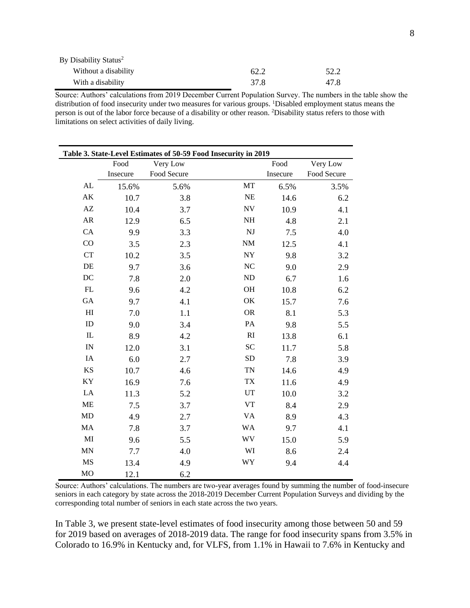| By Disability Status <sup>2</sup> |      |      |
|-----------------------------------|------|------|
| Without a disability              | 62.2 | 52.2 |
| With a disability                 | 37.8 | 47.8 |

Source: Authors' calculations from 2019 December Current Population Survey. The numbers in the table show the distribution of food insecurity under two measures for various groups. <sup>1</sup>Disabled employment status means the person is out of the labor force because of a disability or other reason. <sup>2</sup>Disability status refers to those with limitations on select activities of daily living.

<span id="page-9-0"></span>

| Table 3. State-Level Estimates of 50-59 Food Insecurity in 2019 |          |             |                        |          |             |
|-----------------------------------------------------------------|----------|-------------|------------------------|----------|-------------|
|                                                                 | Food     | Very Low    |                        | Food     | Very Low    |
|                                                                 | Insecure | Food Secure |                        | Insecure | Food Secure |
| ${\rm AL}$                                                      | 15.6%    | 5.6%        | MT                     | 6.5%     | 3.5%        |
| AK                                                              | 10.7     | 3.8         | $\rm NE$               | 14.6     | 6.2         |
| AZ                                                              | 10.4     | 3.7         | NV                     | 10.9     | 4.1         |
| ${\sf AR}$                                                      | 12.9     | 6.5         | $\rm NH$               | 4.8      | 2.1         |
| CA                                                              | 9.9      | 3.3         | $\mathbf{N}\mathbf{J}$ | 7.5      | 4.0         |
| CO                                                              | 3.5      | 2.3         | $\mathrm{NM}$          | 12.5     | 4.1         |
| <b>CT</b>                                                       | 10.2     | 3.5         | ${\rm NY}$             | 9.8      | 3.2         |
| $\rm DE$                                                        | 9.7      | 3.6         | NC                     | 9.0      | 2.9         |
| DC                                                              | 7.8      | 2.0         | ${\rm ND}$             | 6.7      | 1.6         |
| ${\rm FL}$                                                      | 9.6      | 4.2         | OH                     | 10.8     | 6.2         |
| GA                                                              | 9.7      | 4.1         | OK                     | 15.7     | 7.6         |
| $\mathop{\rm HI}\nolimits$                                      | 7.0      | 1.1         | ${\sf OR}$             | 8.1      | 5.3         |
| $\mathbf{ID}$                                                   | 9.0      | 3.4         | PA                     | 9.8      | 5.5         |
| ${\rm IL}$                                                      | 8.9      | 4.2         | $\mathbf{R}\mathbf{I}$ | 13.8     | 6.1         |
| $\ensuremath{\text{IN}}$                                        | 12.0     | 3.1         | <b>SC</b>              | 11.7     | 5.8         |
| IA                                                              | 6.0      | 2.7         | ${\rm SD}$             | 7.8      | 3.9         |
| <b>KS</b>                                                       | 10.7     | 4.6         | <b>TN</b>              | 14.6     | 4.9         |
| KY                                                              | 16.9     | 7.6         | ${\rm TX}$             | 11.6     | 4.9         |
| LA                                                              | 11.3     | 5.2         | UT                     | 10.0     | 3.2         |
| ME                                                              | 7.5      | 3.7         | <b>VT</b>              | 8.4      | 2.9         |
| MD                                                              | 4.9      | 2.7         | <b>VA</b>              | 8.9      | 4.3         |
| MA                                                              | 7.8      | 3.7         | <b>WA</b>              | 9.7      | 4.1         |
| MI                                                              | 9.6      | 5.5         | <b>WV</b>              | 15.0     | 5.9         |
| MN                                                              | 7.7      | 4.0         | WI                     | 8.6      | 2.4         |
| MS                                                              | 13.4     | 4.9         | WY                     | 9.4      | 4.4         |
| MO                                                              | 12.1     | 6.2         |                        |          |             |

Source: Authors' calculations. The numbers are two-year averages found by summing the number of food-insecure seniors in each category by state across the 2018-2019 December Current Population Surveys and dividing by the corresponding total number of seniors in each state across the two years.

In Table 3, we present state-level estimates of food insecurity among those between 50 and 59 for 2019 based on averages of 2018-2019 data. The range for food insecurity spans from 3.5% in Colorado to 16.9% in Kentucky and, for VLFS, from 1.1% in Hawaii to 7.6% in Kentucky and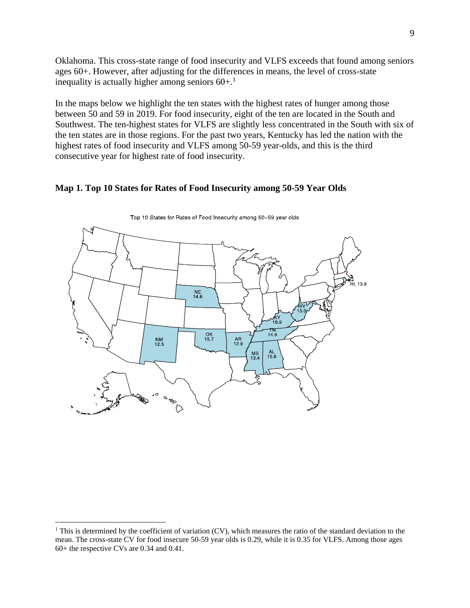Oklahoma. This cross-state range of food insecurity and VLFS exceeds that found among seniors ages 60+. However, after adjusting for the differences in means, the level of cross-state inequality is actually higher among seniors  $60+$ <sup>1</sup>

In the maps below we highlight the ten states with the highest rates of hunger among those between 50 and 59 in 2019. For food insecurity, eight of the ten are located in the South and Southwest. The ten-highest states for VLFS are slightly less concentrated in the South with six of the ten states are in those regions. For the past two years, Kentucky has led the nation with the highest rates of food insecurity and VLFS among 50-59 year-olds, and this is the third consecutive year for highest rate of food insecurity.

#### <span id="page-10-0"></span>**Map 1. Top 10 States for Rates of Food Insecurity among 50-59 Year Olds**



Top 10 States for Rates of Food Insecurity among 50-59 year olds.

<sup>&</sup>lt;sup>1</sup> This is determined by the coefficient of variation (CV), which measures the ratio of the standard deviation to the mean. The cross-state CV for food insecure 50-59 year olds is 0.29, while it is 0.35 for VLFS. Among those ages 60+ the respective CVs are 0.34 and 0.41.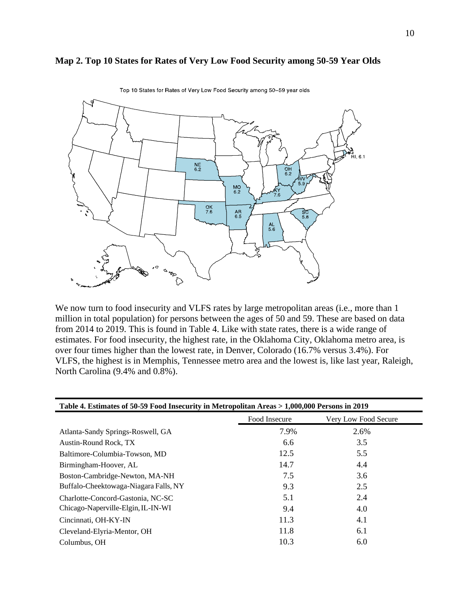#### <span id="page-11-0"></span>**Map 2. Top 10 States for Rates of Very Low Food Security among 50-59 Year Olds**



Top 10 States for Rates of Very Low Food Security among 50-59 year olds.

We now turn to food insecurity and VLFS rates by large metropolitan areas (i.e., more than 1 million in total population) for persons between the ages of 50 and 59. These are based on data from 2014 to 2019. This is found in Table 4. Like with state rates, there is a wide range of estimates. For food insecurity, the highest rate, in the Oklahoma City, Oklahoma metro area, is over four times higher than the lowest rate, in Denver, Colorado (16.7% versus 3.4%). For VLFS, the highest is in Memphis, Tennessee metro area and the lowest is, like last year, Raleigh, North Carolina (9.4% and 0.8%).

<span id="page-11-1"></span>

| Table 4. Estimates of 50-59 Food Insecurity in Metropolitan Areas > 1,000,000 Persons in 2019 |               |                      |  |
|-----------------------------------------------------------------------------------------------|---------------|----------------------|--|
|                                                                                               | Food Insecure | Very Low Food Secure |  |
| Atlanta-Sandy Springs-Roswell, GA                                                             | 7.9%          | 2.6%                 |  |
| Austin-Round Rock, TX                                                                         | 6.6           | 3.5                  |  |
| Baltimore-Columbia-Towson, MD                                                                 | 12.5          | 5.5                  |  |
| Birmingham-Hoover, AL                                                                         | 14.7          | 4.4                  |  |
| Boston-Cambridge-Newton, MA-NH                                                                | 7.5           | 3.6                  |  |
| Buffalo-Cheektowaga-Niagara Falls, NY                                                         | 9.3           | 2.5                  |  |
| Charlotte-Concord-Gastonia, NC-SC                                                             | 5.1           | 2.4                  |  |
| Chicago-Naperville-Elgin, IL-IN-WI                                                            | 9.4           | 4.0                  |  |
| Cincinnati, OH-KY-IN                                                                          | 11.3          | 4.1                  |  |
| Cleveland-Elyria-Mentor, OH                                                                   | 11.8          | 6.1                  |  |
| Columbus, OH                                                                                  | 10.3          | 6.0                  |  |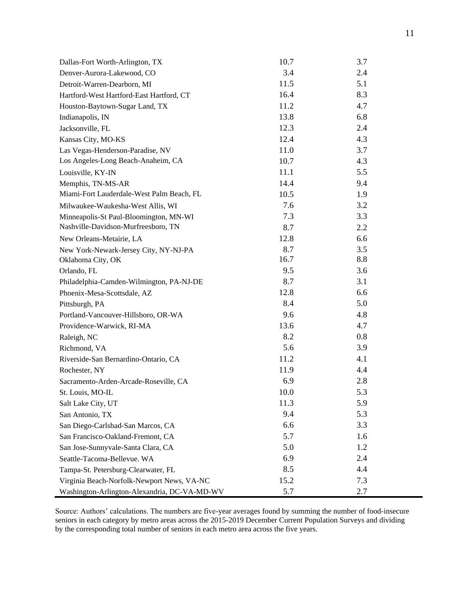| Dallas-Fort Worth-Arlington, TX              | 10.7 | 3.7 |
|----------------------------------------------|------|-----|
| Denver-Aurora-Lakewood, CO                   | 3.4  | 2.4 |
| Detroit-Warren-Dearborn, MI                  | 11.5 | 5.1 |
| Hartford-West Hartford-East Hartford, CT     | 16.4 | 8.3 |
| Houston-Baytown-Sugar Land, TX               | 11.2 | 4.7 |
| Indianapolis, IN                             | 13.8 | 6.8 |
| Jacksonville, FL                             | 12.3 | 2.4 |
| Kansas City, MO-KS                           | 12.4 | 4.3 |
| Las Vegas-Henderson-Paradise, NV             | 11.0 | 3.7 |
| Los Angeles-Long Beach-Anaheim, CA           | 10.7 | 4.3 |
| Louisville, KY-IN                            | 11.1 | 5.5 |
| Memphis, TN-MS-AR                            | 14.4 | 9.4 |
| Miami-Fort Lauderdale-West Palm Beach, FL    | 10.5 | 1.9 |
| Milwaukee-Waukesha-West Allis, WI            | 7.6  | 3.2 |
| Minneapolis-St Paul-Bloomington, MN-WI       | 7.3  | 3.3 |
| Nashville-Davidson-Murfreesboro, TN          | 8.7  | 2.2 |
| New Orleans-Metairie, LA                     | 12.8 | 6.6 |
| New York-Newark-Jersey City, NY-NJ-PA        | 8.7  | 3.5 |
| Oklahoma City, OK                            | 16.7 | 8.8 |
| Orlando, FL                                  | 9.5  | 3.6 |
| Philadelphia-Camden-Wilmington, PA-NJ-DE     | 8.7  | 3.1 |
| Phoenix-Mesa-Scottsdale, AZ                  | 12.8 | 6.6 |
| Pittsburgh, PA                               | 8.4  | 5.0 |
| Portland-Vancouver-Hillsboro, OR-WA          | 9.6  | 4.8 |
| Providence-Warwick, RI-MA                    | 13.6 | 4.7 |
| Raleigh, NC                                  | 8.2  | 0.8 |
| Richmond, VA                                 | 5.6  | 3.9 |
| Riverside-San Bernardino-Ontario, CA         | 11.2 | 4.1 |
| Rochester, NY                                | 11.9 | 4.4 |
| Sacramento-Arden-Arcade-Roseville, CA        | 6.9  | 2.8 |
| St. Louis, MO-IL                             | 10.0 | 5.3 |
| Salt Lake City, UT                           | 11.3 | 5.9 |
| San Antonio, TX                              | 9.4  | 5.3 |
| San Diego-Carlsbad-San Marcos, CA            | 6.6  | 3.3 |
| San Francisco-Oakland-Fremont, CA            | 5.7  | 1.6 |
| San Jose-Sunnyvale-Santa Clara, CA           | 5.0  | 1.2 |
| Seattle-Tacoma-Bellevue. WA                  | 6.9  | 2.4 |
| Tampa-St. Petersburg-Clearwater, FL          | 8.5  | 4.4 |
| Virginia Beach-Norfolk-Newport News, VA-NC   | 15.2 | 7.3 |
| Washington-Arlington-Alexandria, DC-VA-MD-WV | 5.7  | 2.7 |

Source: Authors' calculations. The numbers are five-year averages found by summing the number of food-insecure seniors in each category by metro areas across the 2015-2019 December Current Population Surveys and dividing by the corresponding total number of seniors in each metro area across the five years.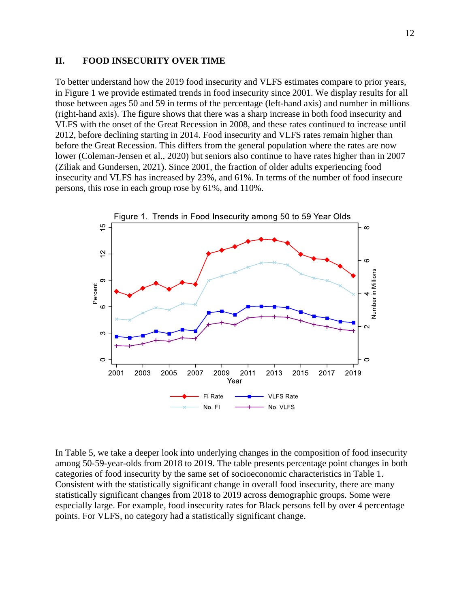#### <span id="page-13-0"></span>**II. FOOD INSECURITY OVER TIME**

To better understand how the 2019 food insecurity and VLFS estimates compare to prior years, in Figure 1 we provide estimated trends in food insecurity since 2001. We display results for all those between ages 50 and 59 in terms of the percentage (left-hand axis) and number in millions (right-hand axis). The figure shows that there was a sharp increase in both food insecurity and VLFS with the onset of the Great Recession in 2008, and these rates continued to increase until 2012, before declining starting in 2014. Food insecurity and VLFS rates remain higher than before the Great Recession. This differs from the general population where the rates are now lower (Coleman-Jensen et al., 2020) but seniors also continue to have rates higher than in 2007 (Ziliak and Gundersen, 2021). Since 2001, the fraction of older adults experiencing food insecurity and VLFS has increased by 23%, and 61%. In terms of the number of food insecure persons, this rose in each group rose by 61%, and 110%.



In Table 5, we take a deeper look into underlying changes in the composition of food insecurity among 50-59-year-olds from 2018 to 2019. The table presents percentage point changes in both categories of food insecurity by the same set of socioeconomic characteristics in Table 1. Consistent with the statistically significant change in overall food insecurity, there are many statistically significant changes from 2018 to 2019 across demographic groups. Some were especially large. For example, food insecurity rates for Black persons fell by over 4 percentage points. For VLFS, no category had a statistically significant change.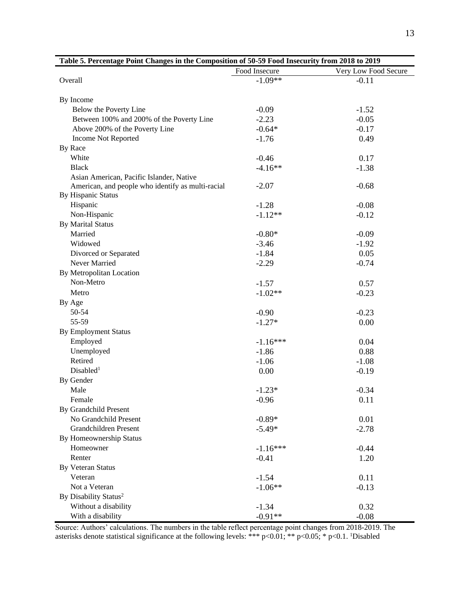<span id="page-14-0"></span>

| Table 5. Percentage Point Changes in the Composition of 50-59 Food Insecurity from 2018 to 2019 |               |                      |  |
|-------------------------------------------------------------------------------------------------|---------------|----------------------|--|
|                                                                                                 | Food Insecure | Very Low Food Secure |  |
| Overall                                                                                         | $-1.09**$     | $-0.11$              |  |
|                                                                                                 |               |                      |  |
| By Income                                                                                       |               |                      |  |
| Below the Poverty Line                                                                          | $-0.09$       | $-1.52$              |  |
| Between 100% and 200% of the Poverty Line                                                       | $-2.23$       | $-0.05$              |  |
| Above 200% of the Poverty Line                                                                  | $-0.64*$      | $-0.17$              |  |
| <b>Income Not Reported</b>                                                                      | $-1.76$       | 0.49                 |  |
| By Race                                                                                         |               |                      |  |
| White                                                                                           | $-0.46$       | 0.17                 |  |
| <b>Black</b>                                                                                    | $-4.16**$     | $-1.38$              |  |
| Asian American, Pacific Islander, Native                                                        |               |                      |  |
| American, and people who identify as multi-racial                                               | $-2.07$       | $-0.68$              |  |
| By Hispanic Status                                                                              |               |                      |  |
| Hispanic                                                                                        | $-1.28$       | $-0.08$              |  |
| Non-Hispanic                                                                                    | $-1.12**$     | $-0.12$              |  |
| <b>By Marital Status</b>                                                                        |               |                      |  |
| Married                                                                                         | $-0.80*$      | $-0.09$              |  |
| Widowed                                                                                         | $-3.46$       | $-1.92$              |  |
| Divorced or Separated                                                                           | $-1.84$       | 0.05                 |  |
| Never Married                                                                                   | $-2.29$       | $-0.74$              |  |
| By Metropolitan Location                                                                        |               |                      |  |
| Non-Metro                                                                                       | $-1.57$       | 0.57                 |  |
| Metro                                                                                           | $-1.02**$     | $-0.23$              |  |
| By Age                                                                                          |               |                      |  |
| 50-54                                                                                           | $-0.90$       | $-0.23$              |  |
| 55-59                                                                                           | $-1.27*$      | 0.00                 |  |
| <b>By Employment Status</b>                                                                     |               |                      |  |
| Employed                                                                                        | $-1.16***$    | 0.04                 |  |
| Unemployed                                                                                      | $-1.86$       | 0.88                 |  |
| Retired                                                                                         | $-1.06$       | $-1.08$              |  |
| Disabled <sup>1</sup>                                                                           | 0.00          | $-0.19$              |  |
| By Gender                                                                                       |               |                      |  |
| Male                                                                                            | $-1.23*$      | $-0.34$              |  |
| Female                                                                                          | $-0.96$       | 0.11                 |  |
| By Grandchild Present                                                                           |               |                      |  |
| No Grandchild Present                                                                           | $-0.89*$      | 0.01                 |  |
| Grandchildren Present                                                                           | $-5.49*$      | $-2.78$              |  |
| By Homeownership Status                                                                         |               |                      |  |
| Homeowner                                                                                       |               |                      |  |
|                                                                                                 | $-1.16***$    | $-0.44$              |  |
| Renter                                                                                          | $-0.41$       | 1.20                 |  |
| <b>By Veteran Status</b>                                                                        |               |                      |  |
| Veteran                                                                                         | $-1.54$       | 0.11                 |  |
| Not a Veteran                                                                                   | $-1.06**$     | $-0.13$              |  |
| By Disability Status <sup>2</sup>                                                               |               |                      |  |
| Without a disability                                                                            | $-1.34$       | 0.32                 |  |
| With a disability                                                                               | $-0.91**$     | $-0.08$              |  |

Source: Authors' calculations. The numbers in the table reflect percentage point changes from 2018-2019. The asterisks denote statistical significance at the following levels: \*\*\* p<0.01; \*\* p<0.05; \* p<0.1. 1Disabled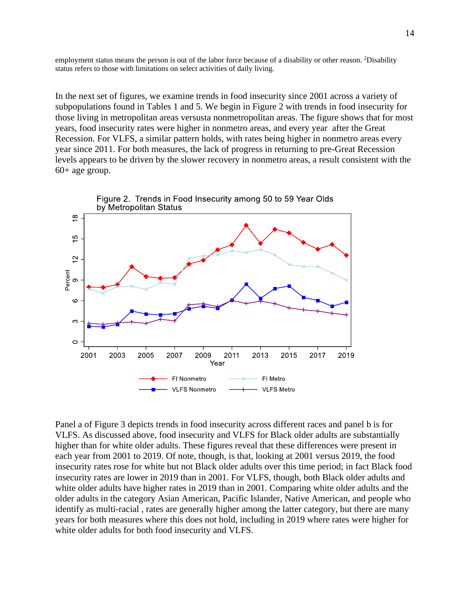employment status means the person is out of the labor force because of a disability or other reason. <sup>2</sup>Disability status refers to those with limitations on select activities of daily living.

In the next set of figures, we examine trends in food insecurity since 2001 across a variety of subpopulations found in Tables 1 and 5. We begin in Figure 2 with trends in food insecurity for those living in metropolitan areas versusta nonmetropolitan areas. The figure shows that for most years, food insecurity rates were higher in nonmetro areas, and every year after the Great Recession. For VLFS, a similar pattern holds, with rates being higher in nonmetro areas every year since 2011. For both measures, the lack of progress in returning to pre-Great Recession levels appears to be driven by the slower recovery in nonmetro areas, a result consistent with the 60+ age group.



Panel a of Figure 3 depicts trends in food insecurity across different races and panel b is for VLFS. As discussed above, food insecurity and VLFS for Black older adults are substantially higher than for white older adults. These figures reveal that these differences were present in each year from 2001 to 2019. Of note, though, is that, looking at 2001 versus 2019, the food insecurity rates rose for white but not Black older adults over this time period; in fact Black food insecurity rates are lower in 2019 than in 2001. For VLFS, though, both Black older adults and white older adults have higher rates in 2019 than in 2001. Comparing white older adults and the older adults in the category Asian American, Pacific Islander, Native American, and people who identify as multi-racial , rates are generally higher among the latter category, but there are many years for both measures where this does not hold, including in 2019 where rates were higher for white older adults for both food insecurity and VLFS.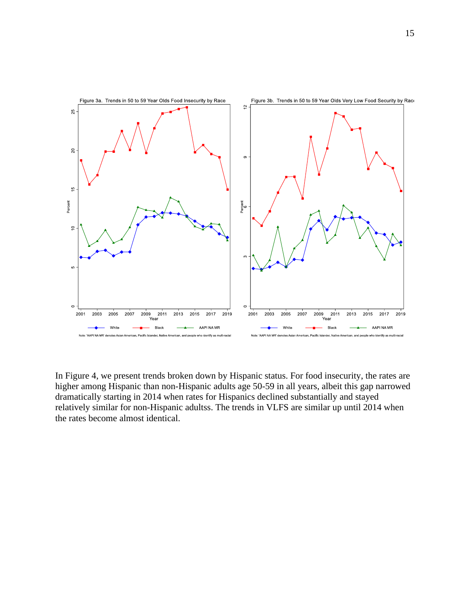

In Figure 4, we present trends broken down by Hispanic status. For food insecurity, the rates are higher among Hispanic than non-Hispanic adults age 50-59 in all years, albeit this gap narrowed dramatically starting in 2014 when rates for Hispanics declined substantially and stayed relatively similar for non-Hispanic adultss. The trends in VLFS are similar up until 2014 when the rates become almost identical.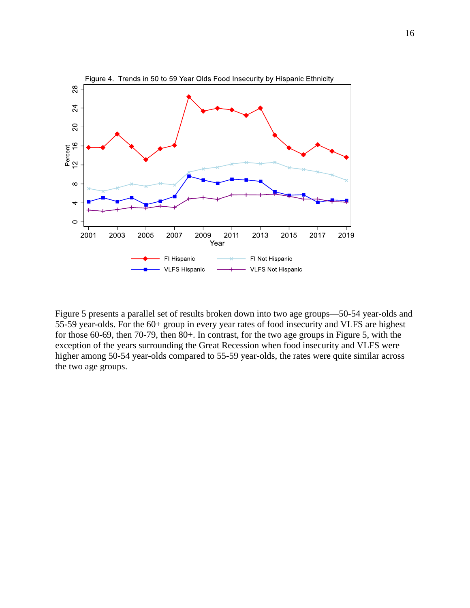

Figure 5 presents a parallel set of results broken down into two age groups—50-54 year-olds and 55-59 year-olds. For the 60+ group in every year rates of food insecurity and VLFS are highest for those 60-69, then 70-79, then 80+. In contrast, for the two age groups in Figure 5, with the exception of the years surrounding the Great Recession when food insecurity and VLFS were higher among 50-54 year-olds compared to 55-59 year-olds, the rates were quite similar across the two age groups.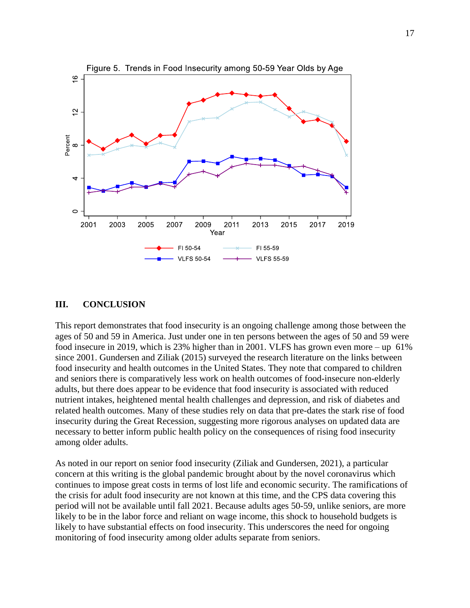

#### <span id="page-18-0"></span>**III. CONCLUSION**

This report demonstrates that food insecurity is an ongoing challenge among those between the ages of 50 and 59 in America. Just under one in ten persons between the ages of 50 and 59 were food insecure in 2019, which is 23% higher than in 2001. VLFS has grown even more – up 61% since 2001. Gundersen and Ziliak (2015) surveyed the research literature on the links between food insecurity and health outcomes in the United States. They note that compared to children and seniors there is comparatively less work on health outcomes of food-insecure non-elderly adults, but there does appear to be evidence that food insecurity is associated with reduced nutrient intakes, heightened mental health challenges and depression, and risk of diabetes and related health outcomes. Many of these studies rely on data that pre-dates the stark rise of food insecurity during the Great Recession, suggesting more rigorous analyses on updated data are necessary to better inform public health policy on the consequences of rising food insecurity among older adults.

As noted in our report on senior food insecurity (Ziliak and Gundersen, 2021), a particular concern at this writing is the global pandemic brought about by the novel coronavirus which continues to impose great costs in terms of lost life and economic security. The ramifications of the crisis for adult food insecurity are not known at this time, and the CPS data covering this period will not be available until fall 2021. Because adults ages 50-59, unlike seniors, are more likely to be in the labor force and reliant on wage income, this shock to household budgets is likely to have substantial effects on food insecurity. This underscores the need for ongoing monitoring of food insecurity among older adults separate from seniors.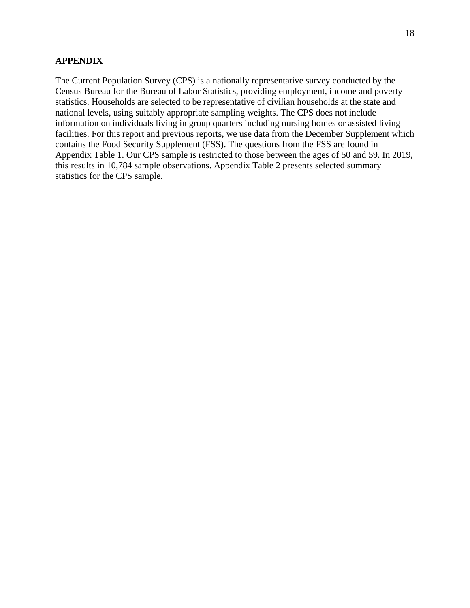#### **APPENDIX**

The Current Population Survey (CPS) is a nationally representative survey conducted by the Census Bureau for the Bureau of Labor Statistics, providing employment, income and poverty statistics. Households are selected to be representative of civilian households at the state and national levels, using suitably appropriate sampling weights. The CPS does not include information on individuals living in group quarters including nursing homes or assisted living facilities. For this report and previous reports, we use data from the December Supplement which contains the Food Security Supplement (FSS). The questions from the FSS are found in Appendix Table 1. Our CPS sample is restricted to those between the ages of 50 and 59. In 2019, this results in 10,784 sample observations. Appendix Table 2 presents selected summary statistics for the CPS sample.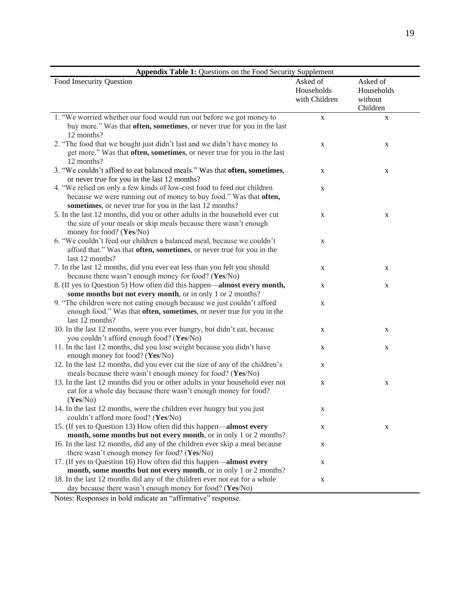<span id="page-20-0"></span>

| Appendix Table 1: Questions on the Food Security Supplement                   |               |            |  |
|-------------------------------------------------------------------------------|---------------|------------|--|
| Food Insecurity Question                                                      | Asked of      | Asked of   |  |
|                                                                               | Households    | Households |  |
|                                                                               | with Children | without    |  |
|                                                                               |               | Children   |  |
| 1. "We worried whether our food would run out before we got money to          | $\mathbf X$   | X          |  |
| buy more." Was that often, sometimes, or never true for you in the last       |               |            |  |
| 12 months?                                                                    |               |            |  |
| 2. "The food that we bought just didn't last and we didn't have money to      | X             | X          |  |
| get more." Was that often, sometimes, or never true for you in the last       |               |            |  |
| 12 months?                                                                    |               |            |  |
| 3. "We couldn't afford to eat balanced meals." Was that often, sometimes,     | X             | X          |  |
| or never true for you in the last 12 months?                                  |               |            |  |
| 4. "We relied on only a few kinds of low-cost food to feed our children       | X             |            |  |
| because we were running out of money to buy food." Was that often,            |               |            |  |
| sometimes, or never true for you in the last 12 months?                       |               |            |  |
| 5. In the last 12 months, did you or other adults in the household ever cut   | X             | X          |  |
| the size of your meals or skip meals because there wasn't enough              |               |            |  |
| money for food? (Yes/No)                                                      |               |            |  |
| 6. "We couldn't feed our children a balanced meal, because we couldn't        | X             |            |  |
| afford that." Was that often, sometimes, or never true for you in the         |               |            |  |
| last 12 months?                                                               |               |            |  |
| 7. In the last 12 months, did you ever eat less than you felt you should      | X             | X          |  |
| because there wasn't enough money for food? (Yes/No)                          |               |            |  |
| 8. (If yes to Question 5) How often did this happen-almost every month,       | X             | X          |  |
| some months but not every month, or in only 1 or 2 months?                    |               |            |  |
| 9. "The children were not eating enough because we just couldn't afford       | X             |            |  |
| enough food." Was that often, sometimes, or never true for you in the         |               |            |  |
| last 12 months?                                                               |               |            |  |
| 10. In the last 12 months, were you ever hungry, but didn't eat, because      | X             | X          |  |
| you couldn't afford enough food? (Yes/No)                                     |               |            |  |
| 11. In the last 12 months, did you lose weight because you didn't have        | X             | X          |  |
| enough money for food? (Yes/No)                                               |               |            |  |
| 12. In the last 12 months, did you ever cut the size of any of the children's | X             |            |  |
| meals because there wasn't enough money for food? (Yes/No)                    |               |            |  |
| 13. In the last 12 months did you or other adults in your household ever not  | X             | X          |  |
| eat for a whole day because there wasn't enough money for food?               |               |            |  |
| (Yes/No)                                                                      |               |            |  |
| 14. In the last 12 months, were the children ever hungry but you just         | X             |            |  |
| couldn't afford more food? (Yes/No)                                           |               |            |  |
| 15. (If yes to Question 13) How often did this happen—almost every            | X             | X          |  |
| month, some months but not every month, or in only 1 or 2 months?             |               |            |  |
| 16. In the last 12 months, did any of the children ever skip a meal because   | X             |            |  |
| there wasn't enough money for food? (Yes/No)                                  |               |            |  |
| 17. (If yes to Question 16) How often did this happen—almost every            | X             |            |  |
| month, some months but not every month, or in only 1 or 2 months?             |               |            |  |
| 18. In the last 12 months did any of the children ever not eat for a whole    | X             |            |  |
| day because there wasn't enough money for food? (Yes/No)                      |               |            |  |

Notes: Responses in bold indicate an "affirmative" response.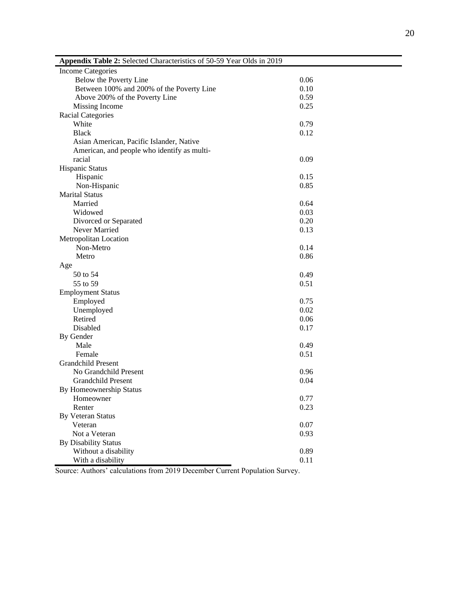| ×<br>۰. |
|---------|
|---------|

<span id="page-21-0"></span>

| Appendix Table 2: Selected Characteristics of 50-59 Year Olds in 2019 |      |
|-----------------------------------------------------------------------|------|
| <b>Income Categories</b>                                              |      |
| Below the Poverty Line                                                | 0.06 |
| Between 100% and 200% of the Poverty Line                             | 0.10 |
| Above 200% of the Poverty Line                                        | 0.59 |
| Missing Income                                                        | 0.25 |
| <b>Racial Categories</b>                                              |      |
| White                                                                 | 0.79 |
| <b>Black</b>                                                          | 0.12 |
| Asian American, Pacific Islander, Native                              |      |
| American, and people who identify as multi-                           |      |
| racial                                                                | 0.09 |
| <b>Hispanic Status</b>                                                |      |
| Hispanic                                                              | 0.15 |
| Non-Hispanic                                                          | 0.85 |
| <b>Marital Status</b>                                                 |      |
| Married                                                               | 0.64 |
| Widowed                                                               | 0.03 |
| Divorced or Separated                                                 | 0.20 |
| Never Married                                                         | 0.13 |
| Metropolitan Location                                                 |      |
| Non-Metro                                                             | 0.14 |
| Metro                                                                 | 0.86 |
| Age                                                                   |      |
| 50 to 54                                                              | 0.49 |
| 55 to 59                                                              | 0.51 |
| <b>Employment Status</b>                                              |      |
| Employed                                                              | 0.75 |
| Unemployed                                                            | 0.02 |
| Retired                                                               | 0.06 |
| Disabled                                                              | 0.17 |
| By Gender                                                             |      |
| Male                                                                  | 0.49 |
| Female                                                                | 0.51 |
| <b>Grandchild Present</b>                                             |      |
| No Grandchild Present                                                 | 0.96 |
| Grandchild Present                                                    | 0.04 |
| By Homeownership Status                                               |      |
| Homeowner                                                             | 0.77 |
| Renter                                                                | 0.23 |
| <b>By Veteran Status</b>                                              |      |
| Veteran                                                               | 0.07 |
| Not a Veteran                                                         | 0.93 |
| <b>By Disability Status</b>                                           |      |
| Without a disability                                                  | 0.89 |
| With a disability                                                     | 0.11 |

Source: Authors' calculations from 2019 December Current Population Survey.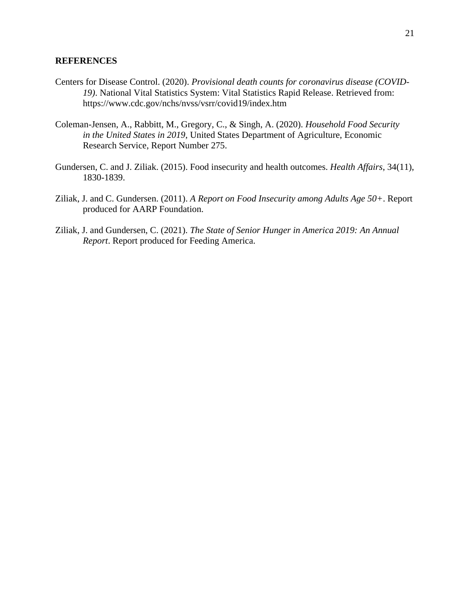#### <span id="page-22-0"></span>**REFERENCES**

- Centers for Disease Control. (2020). *Provisional death counts for coronavirus disease (COVID-19)*. National Vital Statistics System: Vital Statistics Rapid Release. Retrieved from: https://www.cdc.gov/nchs/nvss/vsrr/covid19/index.htm
- Coleman-Jensen, A., Rabbitt, M., Gregory, C., & Singh, A. (2020). *Household Food Security in the United States in 2019*, United States Department of Agriculture, Economic Research Service, Report Number 275.
- Gundersen, C. and J. Ziliak. (2015). Food insecurity and health outcomes. *Health Affairs*, 34(11), 1830-1839.
- Ziliak, J. and C. Gundersen. (2011). *A Report on Food Insecurity among Adults Age 50+*. Report produced for AARP Foundation.
- Ziliak, J. and Gundersen, C. (2021). *The State of Senior Hunger in America 2019: An Annual Report*. Report produced for Feeding America.